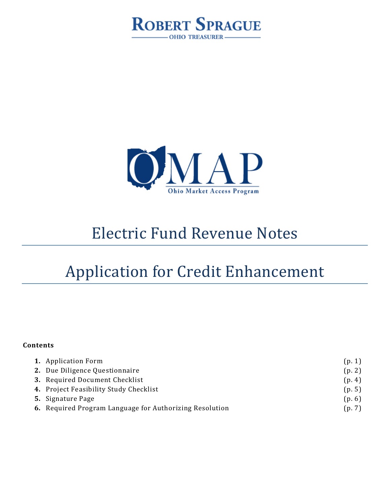



# Electric Fund Revenue Notes

# Application for Credit Enhancement

#### **Contents**

| <b>1.</b> Application Form                              | (p. 1) |
|---------------------------------------------------------|--------|
| 2. Due Diligence Questionnaire                          | (p. 2) |
| 3. Required Document Checklist                          | (p. 4) |
| 4. Project Feasibility Study Checklist                  | (p. 5) |
| <b>5.</b> Signature Page                                | (p. 6) |
| 6. Required Program Language for Authorizing Resolution | (p. 7) |
|                                                         |        |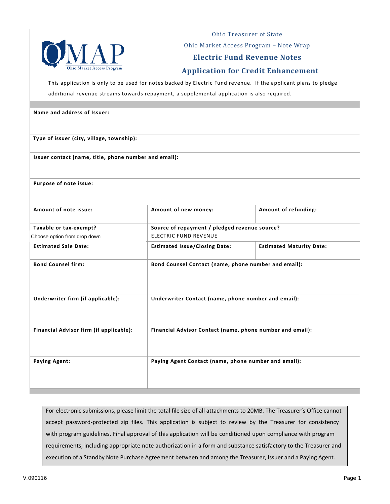

Ohio Treasurer of State

Ohio Market Access Program – Note Wrap

#### **Electric Fund Revenue Notes**

#### **Application for Credit Enhancement**

This application is only to be used for notes backed by Electric Fund revenue. If the applicant plans to pledge

additional revenue streams towards repayment, a supplemental application is also required.

# **Name and address of Issuer: Type of issuer (city, village, township): Issuer contact (name, title, phone number and email): Purpose of note issue:**  Amount of note issue: **Amount of new money:** Amount of new money: **Amount of refunding: Taxable or tax-exempt? Source of repayment / pledged revenue source?**  ELECTRIC FUND REVENUE **Estimated Sale Date: Estimated Issue/Closing Date: Estimated Maturity Date: Bond Counsel firm: Bond Counsel Contact (name, phone number and email): Underwriter firm (if applicable): Underwriter Contact (name, phone number and email): Financial Advisor firm (if applicable): Financial Advisor Contact (name, phone number and email): Paying Agent: Paying Agent Contact (name, phone number and email):** Choose option from drop down

For electronic submissions, please limit the total file size of all attachments to 20MB. The Treasurer's Office cannot accept password-protected zip files. This application is subject to review by the Treasurer for consistency with program guidelines. Final approval of this application will be conditioned upon compliance with program requirements, including appropriate note authorization in a form and substance satisfactory to the Treasurer and execution of a Standby Note Purchase Agreement between and among the Treasurer, Issuer and a Paying Agent.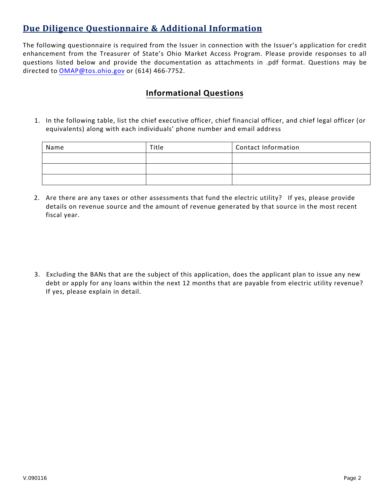# **Due Diligence Questionnaire & Additional Information**

The following questionnaire is required from the Issuer in connection with the Issuer's application for credit enhancement from the Treasurer of State's Ohio Market Access Program. Please provide responses to all questions listed below and provide the documentation as attachments in .pdf format. Questions may be directed to [OMAP@tos.ohio.gov](mailto:OMAP@tos.ohio.gov) or (614) 466-7752.

### **Informational Questions**

1. In the following table, list the chief executive officer, chief financial officer, and chief legal officer (or equivalents) along with each individuals' phone number and email address

| Name | Title | <b>Contact Information</b> |
|------|-------|----------------------------|
|      |       |                            |
|      |       |                            |
|      |       |                            |

2. Are there are any taxes or other assessments that fund the electric utility? If yes, please provide details on revenue source and the amount of revenue generated by that source in the most recent fiscal year.

3. Excluding the BANs that are the subject of this application, does the applicant plan to issue any new debt or apply for any loans within the next 12 months that are payable from electric utility revenue? If yes, please explain in detail.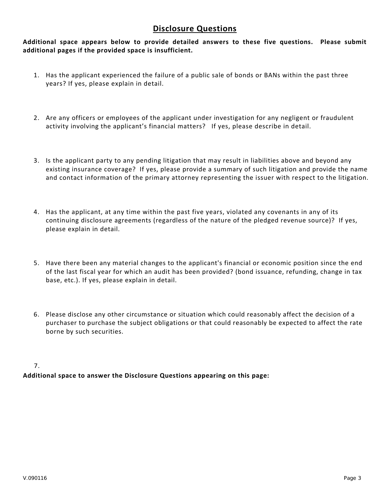#### **Disclosure Questions**

**Additional space appears below to provide detailed answers to these five questions. Please submit additional pages if the provided space is insufficient.**

- 1. Has the applicant experienced the failure of a public sale of bonds or BANs within the past three years? If yes, please explain in detail.
- 2. Are any officers or employees of the applicant under investigation for any negligent or fraudulent activity involving the applicant's financial matters? If yes, please describe in detail.
- 3. Is the applicant party to any pending litigation that may result in liabilities above and beyond any existing insurance coverage? If yes, please provide a summary of such litigation and provide the name and contact information of the primary attorney representing the issuer with respect to the litigation.
- 4. Has the applicant, at any time within the past five years, violated any covenants in any of its continuing disclosure agreements (regardless of the nature of the pledged revenue source)? If yes, please explain in detail.
- 5. Have there been any material changes to the applicant's financial or economic position since the end of the last fiscal year for which an audit has been provided? (bond issuance, refunding, change in tax base, etc.). If yes, please explain in detail.
- 6. Please disclose any other circumstance or situation which could reasonably affect the decision of a purchaser to purchase the subject obligations or that could reasonably be expected to affect the rate borne by such securities.

#### 7.

**Additional space to answer the Disclosure Questions appearing on this page:**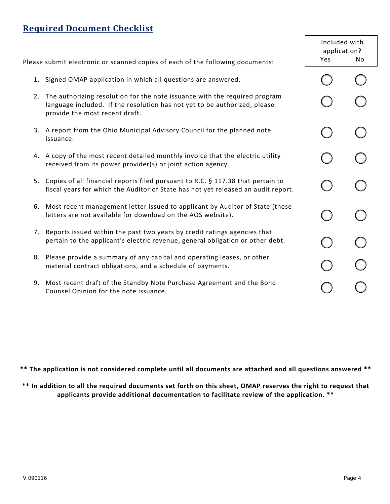# **Required Document Checklist**

|           | Please submit electronic or scanned copies of each of the following documents:                                                                                                               |  | Included with<br>application?<br>Yes<br>No. |  |
|-----------|----------------------------------------------------------------------------------------------------------------------------------------------------------------------------------------------|--|---------------------------------------------|--|
|           | 1. Signed OMAP application in which all questions are answered.                                                                                                                              |  |                                             |  |
|           | 2. The authorizing resolution for the note issuance with the required program<br>language included. If the resolution has not yet to be authorized, please<br>provide the most recent draft. |  |                                             |  |
| issuance. | 3. A report from the Ohio Municipal Advisory Council for the planned note                                                                                                                    |  |                                             |  |
|           | 4. A copy of the most recent detailed monthly invoice that the electric utility<br>received from its power provider(s) or joint action agency.                                               |  |                                             |  |
|           | 5. Copies of all financial reports filed pursuant to R.C. § 117.38 that pertain to<br>fiscal years for which the Auditor of State has not yet released an audit report.                      |  |                                             |  |
|           | 6. Most recent management letter issued to applicant by Auditor of State (these<br>letters are not available for download on the AOS website).                                               |  |                                             |  |
|           | 7. Reports issued within the past two years by credit ratings agencies that<br>pertain to the applicant's electric revenue, general obligation or other debt.                                |  |                                             |  |
|           | 8. Please provide a summary of any capital and operating leases, or other<br>material contract obligations, and a schedule of payments.                                                      |  |                                             |  |
|           | 9. Most recent draft of the Standby Note Purchase Agreement and the Bond<br>Counsel Opinion for the note issuance.                                                                           |  |                                             |  |

**\*\* The application is not considered complete until all documents are attached and all questions answered \*\*** 

**\*\* In addition to all the required documents set forth on this sheet, OMAP reserves the right to request that applicants provide additional documentation to facilitate review of the application. \*\***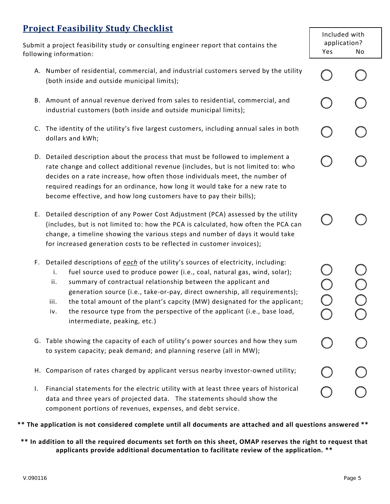# **Project Feasibility Study Checklist**

Submit a project feasibility study or consulting engineer report that contains the following information:

- A. Number of residential, commercial, and industrial customers served by the utility (both inside and outside municipal limits);
- B. Amount of annual revenue derived from sales to residential, commercial, and industrial customers (both inside and outside municipal limits);
- C. The identity of the utility's five largest customers, including annual sales in both dollars and kWh;
- D. Detailed description about the process that must be followed to implement a rate change and collect additional revenue (includes, but is not limited to: who decides on a rate increase, how often those individuals meet, the number of required readings for an ordinance, how long it would take for a new rate to become effective, and how long customers have to pay their bills);
- E. Detailed description of any Power Cost Adjustment (PCA) assessed by the utility (includes, but is not limited to: how the PCA is calculated, how often the PCA can change, a timeline showing the various steps and number of days it would take for increased generation costs to be reflected in customer invoices);
- F. Detailed descriptions of *each* of the utility's sources of electricity, including:
	- i. fuel source used to produce power (i.e., coal, natural gas, wind, solar);
	- ii. summary of contractual relationship between the applicant and generation source (i.e., take-or-pay, direct ownership, all requirements);
	- iii. the total amount of the plant's capcity (MW) designated for the applicant;
	- iv. the resource type from the perspective of the applicant (i.e., base load, intermediate, peaking, etc.)
- G. Table showing the capacity of each of utility's power sources and how they sum to system capacity; peak demand; and planning reserve (all in MW);
- H. Comparison of rates charged by applicant versus nearby investor-owned utility;
- I. Financial statements for the electric utility with at least three years of historical data and three years of projected data. The statements should show the component portions of revenues, expenses, and debt service.

#### **\*\* The application is not considered complete until all documents are attached and all questions answered \*\***

**\*\* In addition to all the required documents set forth on this sheet, OMAP reserves the right to request that applicants provide additional documentation to facilitate review of the application. \*\*** 

Ŏ<br>O<br>O

Included with application? Yes No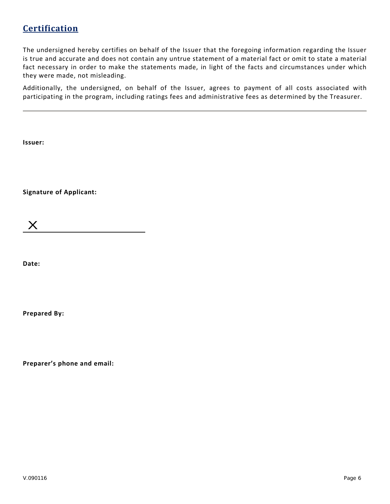# **Certification**

The undersigned hereby certifies on behalf of the Issuer that the foregoing information regarding the Issuer is true and accurate and does not contain any untrue statement of a material fact or omit to state a material fact necessary in order to make the statements made, in light of the facts and circumstances under which they were made, not misleading.

Additionally, the undersigned, on behalf of the Issuer, agrees to payment of all costs associated with participating in the program, including ratings fees and administrative fees as determined by the Treasurer.

**Issuer:** 

**Signature of Applicant:** 

X

**Date:**

**Prepared By:**

**Preparer's phone and email:**